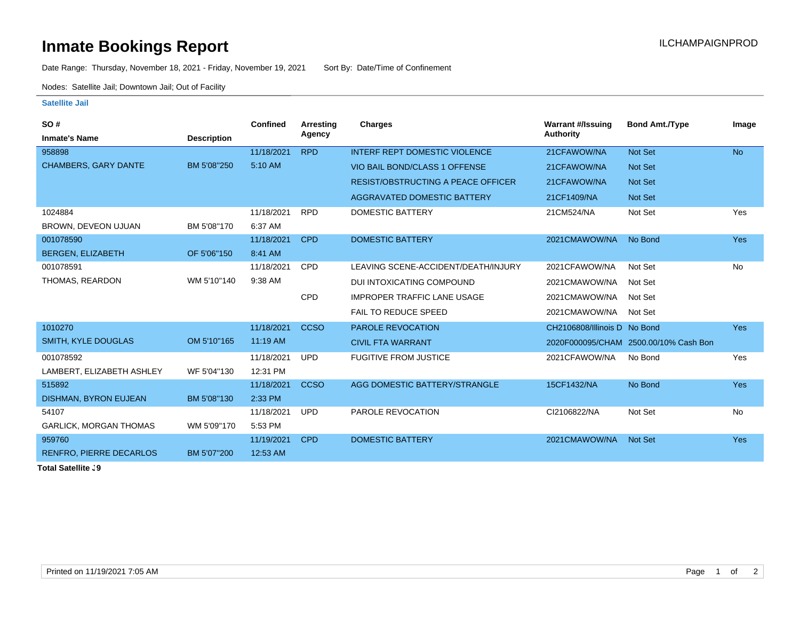## **Inmate Bookings Report Installation ILCHAMPAIGNPROD**

Date Range: Thursday, November 18, 2021 - Friday, November 19, 2021 Sort By: Date/Time of Confinement

Nodes: Satellite Jail; Downtown Jail; Out of Facility

## **Satellite Jail**

| SO#                            |                    | <b>Confined</b> | Arresting   | Charges                                   | <b>Warrant #/Issuing</b>     | <b>Bond Amt./Type</b>                 | Image      |
|--------------------------------|--------------------|-----------------|-------------|-------------------------------------------|------------------------------|---------------------------------------|------------|
| <b>Inmate's Name</b>           | <b>Description</b> |                 | Agency      |                                           | <b>Authority</b>             |                                       |            |
| 958898                         |                    | 11/18/2021      | <b>RPD</b>  | <b>INTERF REPT DOMESTIC VIOLENCE</b>      | 21CFAWOW/NA                  | <b>Not Set</b>                        | <b>No</b>  |
| <b>CHAMBERS, GARY DANTE</b>    | BM 5'08"250        | 5:10 AM         |             | VIO BAIL BOND/CLASS 1 OFFENSE             | 21CFAWOW/NA                  | <b>Not Set</b>                        |            |
|                                |                    |                 |             | <b>RESIST/OBSTRUCTING A PEACE OFFICER</b> | 21CFAWOW/NA                  | <b>Not Set</b>                        |            |
|                                |                    |                 |             | AGGRAVATED DOMESTIC BATTERY               | 21CF1409/NA                  | <b>Not Set</b>                        |            |
| 1024884                        |                    | 11/18/2021      | <b>RPD</b>  | <b>DOMESTIC BATTERY</b>                   | 21CM524/NA                   | Not Set                               | Yes        |
| BROWN, DEVEON UJUAN            | BM 5'08"170        | 6:37 AM         |             |                                           |                              |                                       |            |
| 001078590                      |                    | 11/18/2021      | <b>CPD</b>  | <b>DOMESTIC BATTERY</b>                   | 2021CMAWOW/NA                | No Bond                               | <b>Yes</b> |
| <b>BERGEN, ELIZABETH</b>       | OF 5'06"150        | 8:41 AM         |             |                                           |                              |                                       |            |
| 001078591                      |                    | 11/18/2021      | <b>CPD</b>  | LEAVING SCENE-ACCIDENT/DEATH/INJURY       | 2021CFAWOW/NA                | Not Set                               | No         |
| THOMAS, REARDON                | WM 5'10"140        | 9:38 AM         |             | DUI INTOXICATING COMPOUND                 | 2021CMAWOW/NA                | Not Set                               |            |
|                                |                    |                 | <b>CPD</b>  | <b>IMPROPER TRAFFIC LANE USAGE</b>        | 2021CMAWOW/NA                | Not Set                               |            |
|                                |                    |                 |             | FAIL TO REDUCE SPEED                      | 2021CMAWOW/NA                | Not Set                               |            |
| 1010270                        |                    | 11/18/2021      | <b>CCSO</b> | <b>PAROLE REVOCATION</b>                  | CH2106808/Illinois D No Bond |                                       | <b>Yes</b> |
| SMITH, KYLE DOUGLAS            | OM 5'10"165        | 11:19 AM        |             | <b>CIVIL FTA WARRANT</b>                  |                              | 2020F000095/CHAM 2500.00/10% Cash Bon |            |
| 001078592                      |                    | 11/18/2021      | <b>UPD</b>  | <b>FUGITIVE FROM JUSTICE</b>              | 2021CFAWOW/NA                | No Bond                               | Yes        |
| LAMBERT, ELIZABETH ASHLEY      | WF 5'04"130        | 12:31 PM        |             |                                           |                              |                                       |            |
| 515892                         |                    | 11/18/2021      | <b>CCSO</b> | AGG DOMESTIC BATTERY/STRANGLE             | 15CF1432/NA                  | No Bond                               | <b>Yes</b> |
| <b>DISHMAN, BYRON EUJEAN</b>   | BM 5'08"130        | 2:33 PM         |             |                                           |                              |                                       |            |
| 54107                          |                    | 11/18/2021      | <b>UPD</b>  | PAROLE REVOCATION                         | CI2106822/NA                 | Not Set                               | No         |
| <b>GARLICK, MORGAN THOMAS</b>  | WM 5'09"170        | 5:53 PM         |             |                                           |                              |                                       |            |
| 959760                         |                    | 11/19/2021      | <b>CPD</b>  | <b>DOMESTIC BATTERY</b>                   | 2021CMAWOW/NA                | <b>Not Set</b>                        | <b>Yes</b> |
| <b>RENFRO, PIERRE DECARLOS</b> | BM 5'07"200        | 12:53 AM        |             |                                           |                              |                                       |            |
|                                |                    |                 |             |                                           |                              |                                       |            |

**Total Satellite . 9**